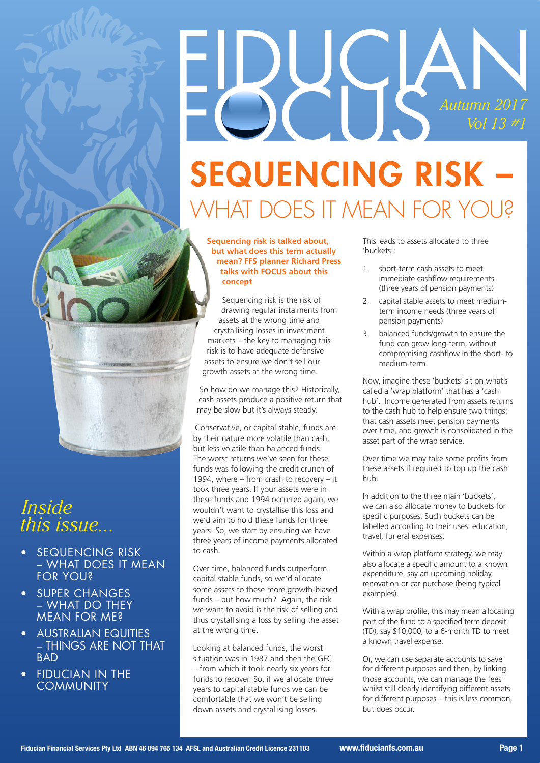# EDUGAN *Autumn 2017 Vol 13 #1* SEQUENCING RISK – WHAT DOES IT MEAN FOR YOU?

#### **Sequencing risk is talked about, but what does this term actually mean? FFS planner Richard Press talks with FOCUS about this concept**

Sequencing risk is the risk of drawing regular instalments from assets at the wrong time and crystallising losses in investment markets – the key to managing this risk is to have adequate defensive assets to ensure we don't sell our growth assets at the wrong time.

So how do we manage this? Historically, cash assets produce a positive return that may be slow but it's always steady.

Conservative, or capital stable, funds are by their nature more volatile than cash, but less volatile than balanced funds. The worst returns we've seen for these funds was following the credit crunch of 1994, where – from crash to recovery – it took three years. If your assets were in these funds and 1994 occurred again, we wouldn't want to crystallise this loss and we'd aim to hold these funds for three years. So, we start by ensuring we have three years of income payments allocated to cash.

Over time, balanced funds outperform capital stable funds, so we'd allocate some assets to these more growth-biased funds – but how much? Again, the risk we want to avoid is the risk of selling and thus crystallising a loss by selling the asset at the wrong time.

Looking at balanced funds, the worst situation was in 1987 and then the GFC – from which it took nearly six years for funds to recover. So, if we allocate three years to capital stable funds we can be comfortable that we won't be selling down assets and crystallising losses.

This leads to assets allocated to three 'buckets':

- 1. short-term cash assets to meet immediate cashflow requirements (three years of pension payments)
- 2. capital stable assets to meet mediumterm income needs (three years of pension payments)
- 3. balanced funds/growth to ensure the fund can grow long-term, without compromising cashflow in the short- to medium-term.

Now, imagine these 'buckets' sit on what's called a 'wrap platform' that has a 'cash hub'. Income generated from assets returns to the cash hub to help ensure two things: that cash assets meet pension payments over time, and growth is consolidated in the asset part of the wrap service.

Over time we may take some profits from these assets if required to top up the cash hub.

In addition to the three main 'buckets', we can also allocate money to buckets for specific purposes. Such buckets can be labelled according to their uses: education, travel, funeral expenses.

Within a wrap platform strategy, we may also allocate a specific amount to a known expenditure, say an upcoming holiday, renovation or car purchase (being typical examples).

With a wrap profile, this may mean allocating part of the fund to a specified term deposit (TD), say \$10,000, to a 6-month TD to meet a known travel expense.

Or, we can use separate accounts to save for different purposes and then, by linking those accounts, we can manage the fees whilst still clearly identifying different assets for different purposes – this is less common, but does occur.

## *Inside this issue...*

- **SEQUENCING RISK** – WHAT DOES IT MEAN FOR YOU?
- **SUPER CHANGES** – WHAT DO THEY MEAN FOR ME?
- **AUSTRALIAN EQUITIES** – THINGS ARE NOT THAT **BAD**
- **FIDUCIAN IN THE COMMUNITY**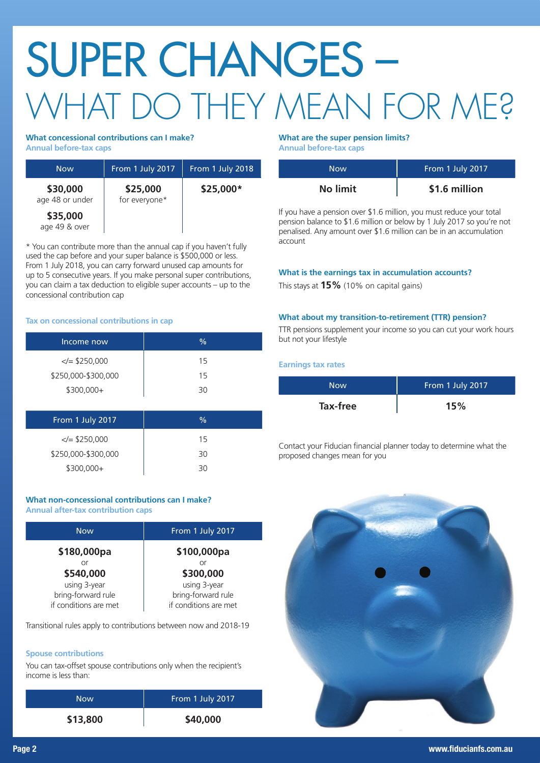# SUPER CHANGES – WHAT DO THEY MEAN FOR ME?

#### **What concessional contributions can I make?**

**Annual before-tax caps**

| <b>Now</b>                  | From 1 July 2017          | From 1 July 2018 |
|-----------------------------|---------------------------|------------------|
| \$30,000<br>age 48 or under | \$25,000<br>for everyone* | \$25,000*        |
| \$35,000<br>age 49 & over   |                           |                  |

\* You can contribute more than the annual cap if you haven't fully used the cap before and your super balance is \$500,000 or less. From 1 July 2018, you can carry forward unused cap amounts for up to 5 consecutive years. If you make personal super contributions, you can claim a tax deduction to eligible super accounts – up to the concessional contribution cap

#### **Tax on concessional contributions in cap**

| Income now            | $\frac{0}{0}$ |
|-----------------------|---------------|
| $\le$ $\le$ \$250,000 | 15            |
| \$250,000-\$300,000   | 15            |
| \$300,000+            | 30            |
|                       |               |
| From 1 July 2017      | $\frac{0}{0}$ |
| $\le$ $\le$ \$250,000 | 15            |
| \$250,000-\$300,000   | 30            |
| \$300,000+            | 30            |

#### **What non-concessional contributions can I make? Annual after-tax contribution caps**

| <b>Now</b>            | From 1 July 2017      |
|-----------------------|-----------------------|
| \$180,000pa           | \$100,000pa           |
| nr                    | Ωr                    |
| \$540,000             | \$300,000             |
| using 3-year          | using 3-year          |
| bring-forward rule    | bring-forward rule    |
| if conditions are met | if conditions are met |

Transitional rules apply to contributions between now and 2018-19

#### **Spouse contributions**

You can tax-offset spouse contributions only when the recipient's income is less than:

| <b>Now</b> | From 1 July 2017 |
|------------|------------------|
| \$13,800   | \$40,000         |

#### **What are the super pension limits?**

**Annual before-tax caps**

| Now             | From 1 July 2017 |
|-----------------|------------------|
| <b>No limit</b> | \$1.6 million    |

If you have a pension over \$1.6 million, you must reduce your total pension balance to \$1.6 million or below by 1 July 2017 so you're not penalised. Any amount over \$1.6 million can be in an accumulation account

#### **What is the earnings tax in accumulation accounts?**

This stays at **15%** (10% on capital gains)

#### **What about my transition-to-retirement (TTR) pension?**

TTR pensions supplement your income so you can cut your work hours but not your lifestyle

**Earnings tax rates**

| Now      | From 1 July 2017 |
|----------|------------------|
| Tax-free | 15%              |

Contact your Fiducian financial planner today to determine what the proposed changes mean for you

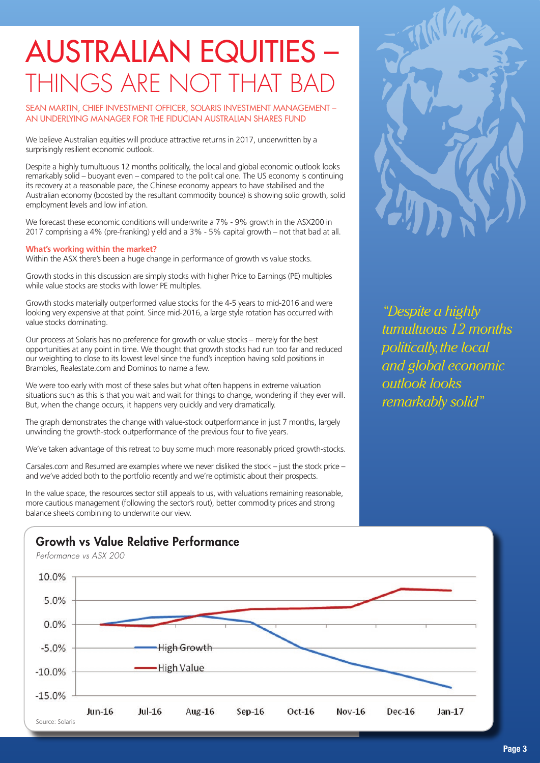## AUSTRALIAN EQUITIES – THINGS ARE NOT THAT BAD

SEAN MARTIN, CHIEF INVESTMENT OFFICER, SOLARIS INVESTMENT MANAGEMENT -AN UNDERLYING MANAGER FOR THE FIDUCIAN AUSTRALIAN SHARES FUND

We believe Australian equities will produce attractive returns in 2017, underwritten by a surprisingly resilient economic outlook.

Despite a highly tumultuous 12 months politically, the local and global economic outlook looks remarkably solid – buoyant even – compared to the political one. The US economy is continuing its recovery at a reasonable pace, the Chinese economy appears to have stabilised and the Australian economy (boosted by the resultant commodity bounce) is showing solid growth, solid employment levels and low inflation.

We forecast these economic conditions will underwrite a 7% - 9% growth in the ASX200 in 2017 comprising a 4% (pre-franking) yield and a 3% - 5% capital growth – not that bad at all.

#### **What's working within the market?**

Within the ASX there's been a huge change in performance of growth vs value stocks.

Growth stocks in this discussion are simply stocks with higher Price to Earnings (PE) multiples while value stocks are stocks with lower PE multiples.

Growth stocks materially outperformed value stocks for the 4-5 years to mid-2016 and were looking very expensive at that point. Since mid-2016, a large style rotation has occurred with value stocks dominating.

Our process at Solaris has no preference for growth or value stocks – merely for the best opportunities at any point in time. We thought that growth stocks had run too far and reduced our weighting to close to its lowest level since the fund's inception having sold positions in Brambles, Realestate.com and Dominos to name a few.

We were too early with most of these sales but what often happens in extreme valuation situations such as this is that you wait and wait for things to change, wondering if they ever will. But, when the change occurs, it happens very quickly and very dramatically.

The graph demonstrates the change with value-stock outperformance in just 7 months, largely unwinding the growth-stock outperformance of the previous four to five years.

We've taken advantage of this retreat to buy some much more reasonably priced growth-stocks.

Carsales.com and Resumed are examples where we never disliked the stock – just the stock price – and we've added both to the portfolio recently and we're optimistic about their prospects.

In the value space, the resources sector still appeals to us, with valuations remaining reasonable, more cautious management (following the sector's rout), better commodity prices and strong balance sheets combining to underwrite our view.



## Growth vs Value Relative Performance



*"Despite a highly tumultuous 12 months politically, the local and global economic outlook looks remarkably solid"*